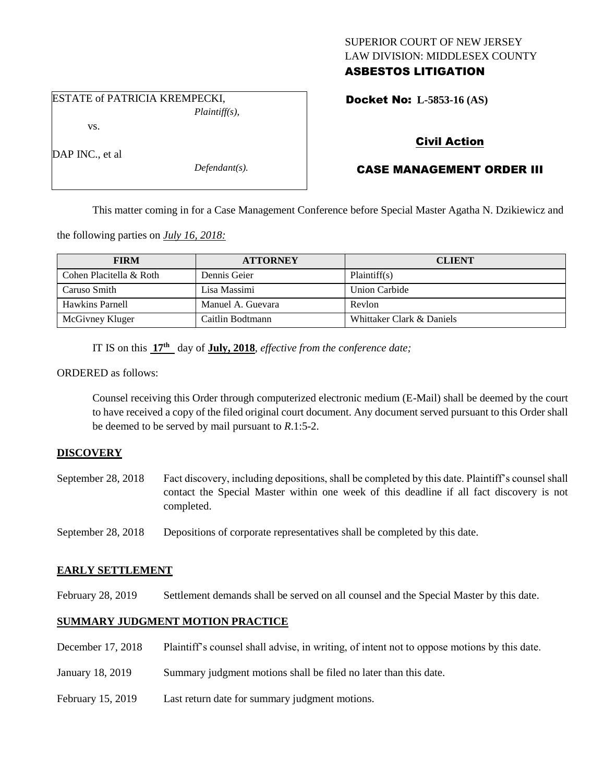### SUPERIOR COURT OF NEW JERSEY LAW DIVISION: MIDDLESEX COUNTY ASBESTOS LITIGATION

Docket No: **L-5853-16 (AS)** 

# vs.

DAP INC., et al.

*Defendant(s).*

*Plaintiff(s),*

## Civil Action

## CASE MANAGEMENT ORDER III

This matter coming in for a Case Management Conference before Special Master Agatha N. Dzikiewicz and

the following parties on *July 16, 2018:*

ESTATE of PATRICIA KREMPECKI,

| <b>FIRM</b>             | <b>ATTORNEY</b>   | <b>CLIENT</b>             |
|-------------------------|-------------------|---------------------------|
| Cohen Placitella & Roth | Dennis Geier      | Plaintiff(s)              |
| Caruso Smith            | Lisa Massimi      | Union Carbide             |
| Hawkins Parnell         | Manuel A. Guevara | Revlon                    |
| McGivney Kluger         | Caitlin Bodtmann  | Whittaker Clark & Daniels |

IT IS on this  $17<sup>th</sup>$  day of **July, 2018**, *effective from the conference date*;

ORDERED as follows:

Counsel receiving this Order through computerized electronic medium (E-Mail) shall be deemed by the court to have received a copy of the filed original court document. Any document served pursuant to this Order shall be deemed to be served by mail pursuant to *R*.1:5-2.

### **DISCOVERY**

September 28, 2018 Fact discovery, including depositions, shall be completed by this date. Plaintiff's counsel shall contact the Special Master within one week of this deadline if all fact discovery is not completed.

September 28, 2018 Depositions of corporate representatives shall be completed by this date.

### **EARLY SETTLEMENT**

February 28, 2019 Settlement demands shall be served on all counsel and the Special Master by this date.

### **SUMMARY JUDGMENT MOTION PRACTICE**

- December 17, 2018 Plaintiff's counsel shall advise, in writing, of intent not to oppose motions by this date.
- January 18, 2019 Summary judgment motions shall be filed no later than this date.
- February 15, 2019 Last return date for summary judgment motions.